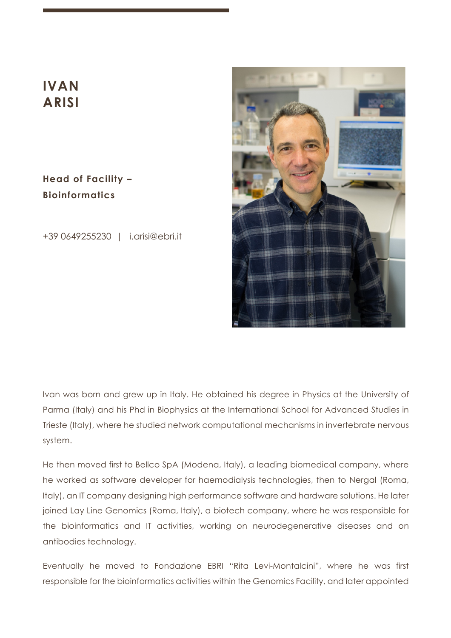# **IVAN ARISI**

**Head of Facility – Bioinformatics**

+39 0649255230 | i.arisi@ebri.it



Ivan was born and grew up in Italy. He obtained his degree in Physics at the University of Parma (Italy) and his Phd in Biophysics at the International School for Advanced Studies in Trieste (Italy), where he studied network computational mechanisms in invertebrate nervous system.

He then moved first to Bellco SpA (Modena, Italy), a leading biomedical company, where he worked as software developer for haemodialysis technologies, then to Nergal (Roma, Italy), an IT company designing high performance software and hardware solutions. He later joined Lay Line Genomics (Roma, Italy), a biotech company, where he was responsible for the bioinformatics and IT activities, working on neurodegenerative diseases and on antibodies technology.

Eventually he moved to Fondazione EBRI "Rita Levi-Montalcini", where he was first responsible for the bioinformatics activities within the Genomics Facility, and later appointed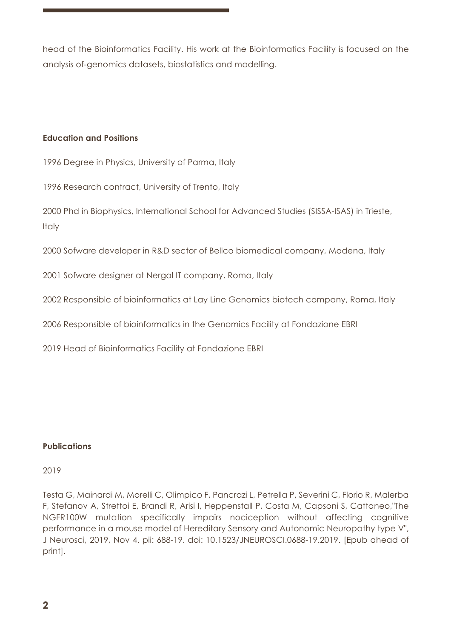head of the Bioinformatics Facility. His work at the Bioinformatics Facility is focused on the analysis of-genomics datasets, biostatistics and modelling.

## **Education and Positions**

1996 Degree in Physics, University of Parma, Italy

1996 Research contract, University of Trento, Italy

2000 Phd in Biophysics, International School for Advanced Studies (SISSA-ISAS) in Trieste, Italy

2000 Sofware developer in R&D sector of Bellco biomedical company, Modena, Italy

2001 Sofware designer at Nergal IT company, Roma, Italy

2002 Responsible of bioinformatics at Lay Line Genomics biotech company, Roma, Italy

2006 Responsible of bioinformatics in the Genomics Facility at Fondazione EBRI

2019 Head of Bioinformatics Facility at Fondazione EBRI

## **Publications**

#### 2019

Testa G, Mainardi M, Morelli C, Olimpico F, Pancrazi L, Petrella P, Severini C, Florio R, Malerba F, Stefanov A, Strettoi E, Brandi R, Arisi I, Heppenstall P, Costa M, Capsoni S, Cattaneo,"The NGFR100W mutation specifically impairs nociception without affecting cognitive performance in a mouse model of Hereditary Sensory and Autonomic Neuropathy type V", J Neurosci, 2019, Nov 4. pii: 688-19. doi: 10.1523/JNEUROSCI.0688-19.2019. [Epub ahead of print].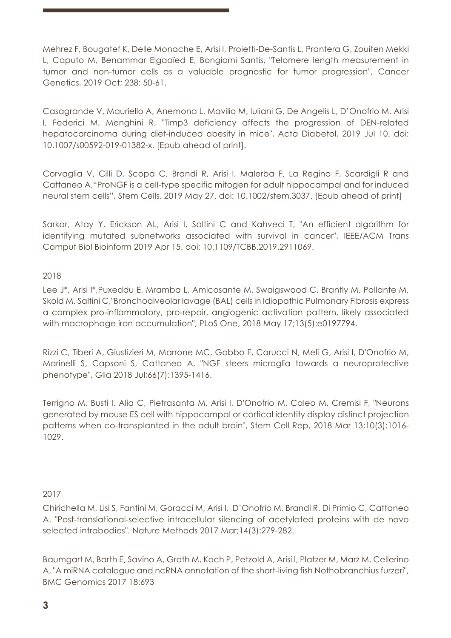Mehrez F, Bougatef K, Delle Monache E, Arisi I, Proietti-De-Santis L, Prantera G, Zouiten Mekki L, Caputo M, Benammar Elgaaïed E, Bongiorni Santis, "Telomere length measurement in tumor and non-tumor cells as a valuable prognostic for tumor progression", Cancer Genetics, 2019 Oct; 238: 50-61.

Casagrande V, Mauriello A, Anemona L, Mavilio M, Iuliani G, De Angelis L, D'Onofrio M, Arisi I, Federici M, Menghini R, "Timp3 deficiency affects the progression of DEN-related hepatocarcinoma during diet-induced obesity in mice", Acta Diabetol, 2019 Jul 10. doi: 10.1007/s00592-019-01382-x. [Epub ahead of print].

Corvaglia V, Cilli D, Scopa C, Brandi R, Arisi I, Malerba F, La Regina F, Scardigli R and Cattaneo A,"ProNGF is a cell-type specific mitogen for adult hippocampal and for induced neural stem cells", Stem Cells. 2019 May 27. doi: 10.1002/stem.3037. [Epub ahead of print]

Sarkar, Atay Y, Erickson AL, Arisi I, Saltini C and Kahveci T, "An efficient algorithm for identifying mutated subnetworks associated with survival in cancer", IEEE/ACM Trans Comput Biol Bioinform 2019 Apr 15. doi: 10.1109/TCBB.2019.2911069.

2018

Lee J\*, Arisi I\*, Puxeddu E, Mramba L, Amicosante M, Swaigswood C, Brantly M, Pallante M, Skold M, Saltini C,"Bronchoalveolar lavage (BAL) cells in Idiopathic Pulmonary Fibrosis express a complex pro-inflammatory, pro-repair, angiogenic activation pattern, likely associated with macrophage iron accumulation", PLoS One, 2018 May 17;13(5):e0197794.

Rizzi C, Tiberi A, Giustizieri M, Marrone MC, Gobbo F, Carucci N, Meli G, Arisi I, D'Onofrio M, Marinelli S, Capsoni S, Cattaneo A, "NGF steers microglia towards a neuroprotective phenotype", Glia 2018 Jul;66(7):1395-1416.

Terrigno M, Busti I, Alia C, Pietrasanta M, Arisi I, D'Onofrio M, Caleo M, Cremisi F, "Neurons generated by mouse ES cell with hippocampal or cortical identity display distinct projection patterns when co-transplanted in the adult brain", Stem Cell Rep, 2018 Mar 13;10(3):1016- 1029.

## 2017

Chirichella M, Lisi S, Fantini M, Goracci M, Arisi I, D'Onofrio M, Brandi R, Di Primio C, Cattaneo A. "Post-translational-selective intracellular silencing of acetylated proteins with de novo selected intrabodies". Nature Methods 2017 Mar;14(3):279-282.

Baumgart M, Barth E, Savino A, Groth M, Koch P, Petzold A, Arisi I, Platzer M, Marz M, Cellerino A, "A miRNA catalogue and ncRNA annotation of the short-living fish Nothobranchius furzeri", BMC Genomics 2017 18:693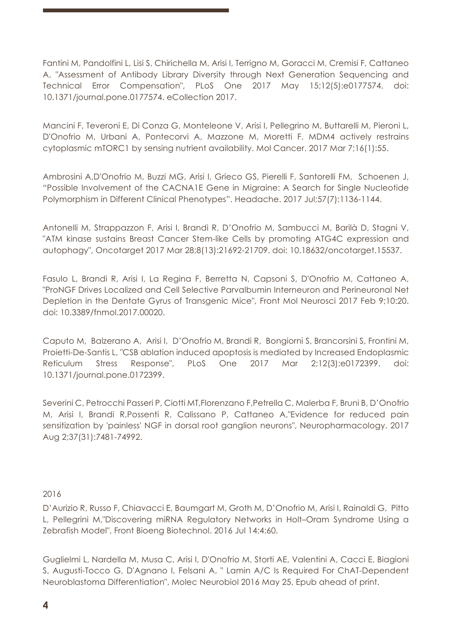Fantini M, Pandolfini L, Lisi S, Chirichella M, Arisi I, Terrigno M, Goracci M, Cremisi F, Cattaneo A, "Assessment of Antibody Library Diversity through Next Generation Sequencing and Technical Error Compensation", PLoS One 2017 May 15;12(5):e0177574. doi: 10.1371/journal.pone.0177574. eCollection 2017.

Mancini F, Teveroni E, Di Conza G, Monteleone V, Arisi I, Pellegrino M, Buttarelli M, Pieroni L, D'Onofrio M, Urbani A, Pontecorvi A, Mazzone M, Moretti F. MDM4 actively restrains cytoplasmic mTORC1 by sensing nutrient availability. Mol Cancer. 2017 Mar 7;16(1):55.

Ambrosini A,D'Onofrio M, Buzzi MG, Arisi I, Grieco GS, Pierelli F, Santorelli FM, Schoenen J, "Possible Involvement of the CACNA1E Gene in Migraine: A Search for Single Nucleotide Polymorphism in Different Clinical Phenotypes". Headache. 2017 Jul;57(7):1136-1144.

Antonelli M, Strappazzon F, Arisi I, Brandi R, D'Onofrio M, Sambucci M, Barilà D, Stagni V, "ATM kinase sustains Breast Cancer Stem-like Cells by promoting ATG4C expression and autophagy", Oncotarget 2017 Mar 28;8(13):21692-21709. doi: 10.18632/oncotarget.15537.

Fasulo L, Brandi R, Arisi I, La Regina F, Berretta N, Capsoni S, D'Onofrio M, Cattaneo A, "ProNGF Drives Localized and Cell Selective Parvalbumin Interneuron and Perineuronal Net Depletion in the Dentate Gyrus of Transgenic Mice", Front Mol Neurosci 2017 Feb 9;10:20. doi: 10.3389/fnmol.2017.00020.

Caputo M, Balzerano A, Arisi I, D'Onofrio M, Brandi R, Bongiorni S, Brancorsini S, Frontini M, Proietti-De-Santis L, "CSB ablation induced apoptosis is mediated by Increased Endoplasmic Reticulum Stress Response", PLoS One 2017 Mar 2;12(3):e0172399. doi: 10.1371/journal.pone.0172399.

Severini C, Petrocchi Passeri P, Ciotti MT,Florenzano F,Petrella C, Malerba F, Bruni B, D'Onofrio M, Arisi I, Brandi R,Possenti R, Calissano P, Cattaneo A,"Evidence for reduced pain sensitization by 'painless' NGF in dorsal root ganglion neurons", Neuropharmacology. 2017 Aug 2;37(31):7481-74992.

#### 2016

D'Aurizio R, Russo F, Chiavacci E, Baumgart M, Groth M, D'Onofrio M, Arisi I, Rainaldi G, Pitto L, Pellegrini M,"Discovering miRNA Regulatory Networks in Holt–Oram Syndrome Using a Zebrafish Model", Front Bioeng Biotechnol. 2016 Jul 14;4:60.

Guglielmi L, Nardella M, Musa C, Arisi I, D'Onofrio M, Storti AE, Valentini A, Cacci E, Biagioni S, Augusti-Tocco G, D'Agnano I, Felsani A, " Lamin A/C Is Required For ChAT-Dependent Neuroblastoma Differentiation", Molec Neurobiol 2016 May 25, Epub ahead of print.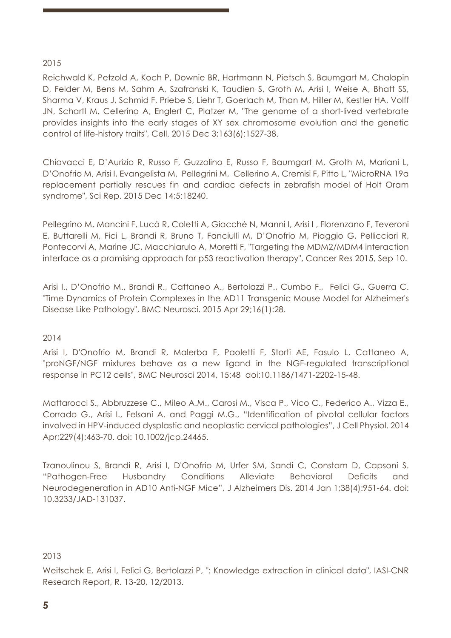## 2015

Reichwald K, Petzold A, Koch P, Downie BR, Hartmann N, Pietsch S, Baumgart M, Chalopin D, Felder M, Bens M, Sahm A, Szafranski K, Taudien S, Groth M, Arisi I, Weise A, Bhatt SS, Sharma V, Kraus J, Schmid F, Priebe S, Liehr T, Goerlach M, Than M, Hiller M, Kestler HA, Volff JN, Schartl M, Cellerino A, Englert C, Platzer M, "The genome of a short-lived vertebrate provides insights into the early stages of XY sex chromosome evolution and the genetic control of life-history traits", Cell. 2015 Dec 3;163(6):1527-38.

Chiavacci E, D'Aurizio R, Russo F, Guzzolino E, Russo F, Baumgart M, Groth M, Mariani L, D'Onofrio M, Arisi I, Evangelista M, Pellegrini M, Cellerino A, Cremisi F, Pitto L, "MicroRNA 19a replacement partially rescues fin and cardiac defects in zebrafish model of Holt Oram syndrome", Sci Rep. 2015 Dec 14;5:18240.

Pellegrino M, Mancini F, Lucà R, Coletti A, Giacchè N, Manni I, Arisi I , Florenzano F, Teveroni E, Buttarelli M, Fici L, Brandi R, Bruno T, Fanciulli M, D'Onofrio M, Piaggio G, Pellicciari R, Pontecorvi A, Marine JC, Macchiarulo A, Moretti F, "Targeting the MDM2/MDM4 interaction interface as a promising approach for p53 reactivation therapy", Cancer Res 2015, Sep 10.

Arisi I., D'Onofrio M., Brandi R., Cattaneo A., Bertolazzi P., Cumbo F., Felici G., Guerra C. "Time Dynamics of Protein Complexes in the AD11 Transgenic Mouse Model for Alzheimer's Disease Like Pathology", BMC Neurosci. 2015 Apr 29;16(1):28.

#### 2014

Arisi I, D'Onofrio M, Brandi R, Malerba F, Paoletti F, Storti AE, Fasulo L, Cattaneo A, "proNGF/NGF mixtures behave as a new ligand in the NGF-regulated transcriptional response in PC12 cells", BMC Neurosci 2014, 15:48 doi:10.1186/1471-2202-15-48.

Mattarocci S., Abbruzzese C., Mileo A.M., Carosi M., Visca P., Vico C., Federico A., Vizza E., Corrado G., Arisi I., Felsani A. and Paggi M.G., "Identification of pivotal cellular factors involved in HPV-induced dysplastic and neoplastic cervical pathologies", J Cell Physiol. 2014 Apr;229(4):463-70. doi: 10.1002/jcp.24465.

Tzanoulinou S, Brandi R, Arisi I, D'Onofrio M, Urfer SM, Sandi C, Constam D, Capsoni S. "Pathogen-Free Husbandry Conditions Alleviate Behavioral Deficits and Neurodegeneration in AD10 Anti-NGF Mice", J Alzheimers Dis. 2014 Jan 1;38(4):951-64. doi: 10.3233/JAD-131037.

#### 2013

Weitschek E, Arisi I, Felici G, Bertolazzi P, ": Knowledge extraction in clinical data", IASI-CNR Research Report, R. 13-20, 12/2013.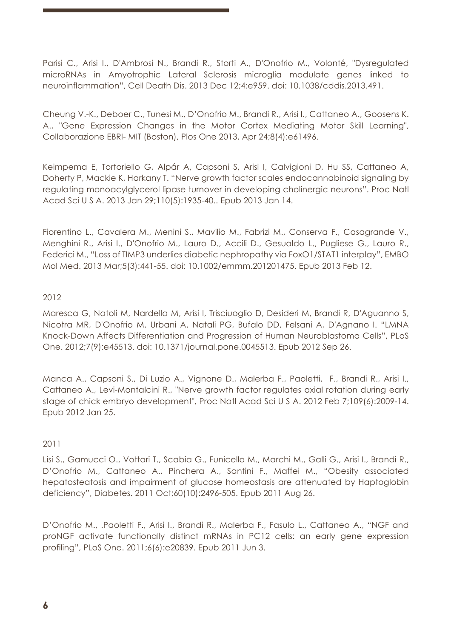Parisi C., Arisi I., D'Ambrosi N., Brandi R., Storti A., D'Onofrio M., Volonté, "Dysregulated microRNAs in Amyotrophic Lateral Sclerosis microglia modulate genes linked to neuroinflammation", Cell Death Dis. 2013 Dec 12;4:e959. doi: 10.1038/cddis.2013.491.

Cheung V.-K., Deboer C., Tunesi M., D'Onofrio M., Brandi R., Arisi I., Cattaneo A., Goosens K. A., "Gene Expression Changes in the Motor Cortex Mediating Motor Skill Learning", Collaborazione EBRI- MIT (Boston), Plos One 2013, Apr 24;8(4):e61496.

Keimpema E, Tortoriello G, Alpár A, Capsoni S, Arisi I, Calvigioni D, Hu SS, Cattaneo A, Doherty P, Mackie K, Harkany T. "Nerve growth factor scales endocannabinoid signaling by regulating monoacylglycerol lipase turnover in developing cholinergic neurons". Proc Natl Acad Sci U S A. 2013 Jan 29;110(5):1935-40.. Epub 2013 Jan 14.

Fiorentino L., Cavalera M., Menini S., Mavilio M., Fabrizi M., Conserva F., Casagrande V., Menghini R., Arisi I., D'Onofrio M., Lauro D., Accili D., Gesualdo L., Pugliese G., Lauro R., Federici M., "Loss of TIMP3 underlies diabetic nephropathy via FoxO1/STAT1 interplay", EMBO Mol Med. 2013 Mar;5(3):441-55. doi: 10.1002/emmm.201201475. Epub 2013 Feb 12.

## 2012

Maresca G, Natoli M, Nardella M, Arisi I, Trisciuoglio D, Desideri M, Brandi R, D'Aguanno S, Nicotra MR, D'Onofrio M, Urbani A, Natali PG, Bufalo DD, Felsani A, D'Agnano I. "LMNA Knock-Down Affects Differentiation and Progression of Human Neuroblastoma Cells", PLoS One. 2012;7(9):e45513. doi: 10.1371/journal.pone.0045513. Epub 2012 Sep 26.

Manca A., Capsoni S., Di Luzio A., Vignone D., Malerba F., Paoletti, F., Brandi R., Arisi I., Cattaneo A., Levi-Montalcini R., "Nerve growth factor regulates axial rotation during early stage of chick embryo development", Proc Natl Acad Sci U S A. 2012 Feb 7;109(6):2009-14. Epub 2012 Jan 25.

## 2011

Lisi S., Gamucci O., Vottari T., Scabia G., Funicello M., Marchi M., Galli G., Arisi I., Brandi R., D'Onofrio M., Cattaneo A., Pinchera A., Santini F., Maffei M., "Obesity associated hepatosteatosis and impairment of glucose homeostasis are attenuated by Haptoglobin deficiency", Diabetes. 2011 Oct;60(10):2496-505. Epub 2011 Aug 26.

D'Onofrio M., .Paoletti F., Arisi I., Brandi R., Malerba F., Fasulo L., Cattaneo A., "NGF and proNGF activate functionally distinct mRNAs in PC12 cells: an early gene expression profiling", PLoS One. 2011;6(6):e20839. Epub 2011 Jun 3.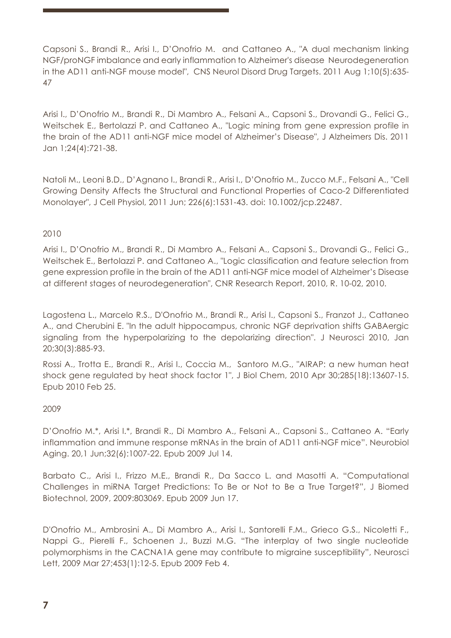Capsoni S., Brandi R., Arisi I., D'Onofrio M. and Cattaneo A., "A dual mechanism linking NGF/proNGF imbalance and early inflammation to Alzheimer's disease Neurodegeneration in the AD11 anti-NGF mouse model", CNS Neurol Disord Drug Targets. 2011 Aug 1;10(5):635- 47

Arisi I., D'Onofrio M., Brandi R., Di Mambro A., Felsani A., Capsoni S., Drovandi G., Felici G., Weitschek E., Bertolazzi P. and Cattaneo A., "Logic mining from gene expression profile in the brain of the AD11 anti-NGF mice model of Alzheimer's Disease", J Alzheimers Dis. 2011 Jan 1;24(4):721-38.

Natoli M., Leoni B.D., D'Agnano I., Brandi R., Arisi I., D'Onofrio M., Zucco M.F., Felsani A., "Cell Growing Density Affects the Structural and Functional Properties of Caco-2 Differentiated Monolayer", J Cell Physiol, 2011 Jun; 226(6):1531-43. doi: 10.1002/jcp.22487.

## 2010

Arisi I., D'Onofrio M., Brandi R., Di Mambro A., Felsani A., Capsoni S., Drovandi G., Felici G., Weitschek E., Bertolazzi P. and Cattaneo A., "Logic classification and feature selection from gene expression profile in the brain of the AD11 anti-NGF mice model of Alzheimer's Disease at different stages of neurodegeneration", CNR Research Report, 2010, R. 10-02, 2010.

Lagostena L., Marcelo R.S., D'Onofrio M., Brandi R., Arisi I., Capsoni S., Franzot J., Cattaneo A., and Cherubini E. "In the adult hippocampus, chronic NGF deprivation shifts GABAergic signaling from the hyperpolarizing to the depolarizing direction". J Neurosci 2010, Jan 20;30(3):885-93.

Rossi A., Trotta E., Brandi R., Arisi I., Coccia M., Santoro M.G., "AIRAP: a new human heat shock gene regulated by heat shock factor 1", J Biol Chem, 2010 Apr 30;285(18):13607-15. Epub 2010 Feb 25.

#### 2009

D'Onofrio M.\*, Arisi I.\*, Brandi R., Di Mambro A., Felsani A., Capsoni S., Cattaneo A. "Early inflammation and immune response mRNAs in the brain of AD11 anti-NGF mice". Neurobiol Aging. 20,1 Jun;32(6):1007-22. Epub 2009 Jul 14.

Barbato C., Arisi I., Frizzo M.E., Brandi R., Da Sacco L. and Masotti A. "Computational Challenges in miRNA Target Predictions: To Be or Not to Be a True Target?", J Biomed Biotechnol, 2009, 2009:803069. Epub 2009 Jun 17.

D'Onofrio M., Ambrosini A., Di Mambro A., Arisi I., Santorelli F.M., Grieco G.S., Nicoletti F., Nappi G., Pierelli F., Schoenen J., Buzzi M.G. "The interplay of two single nucleotide polymorphisms in the CACNA1A gene may contribute to migraine susceptibility", Neurosci Lett, 2009 Mar 27;453(1):12-5. Epub 2009 Feb 4.